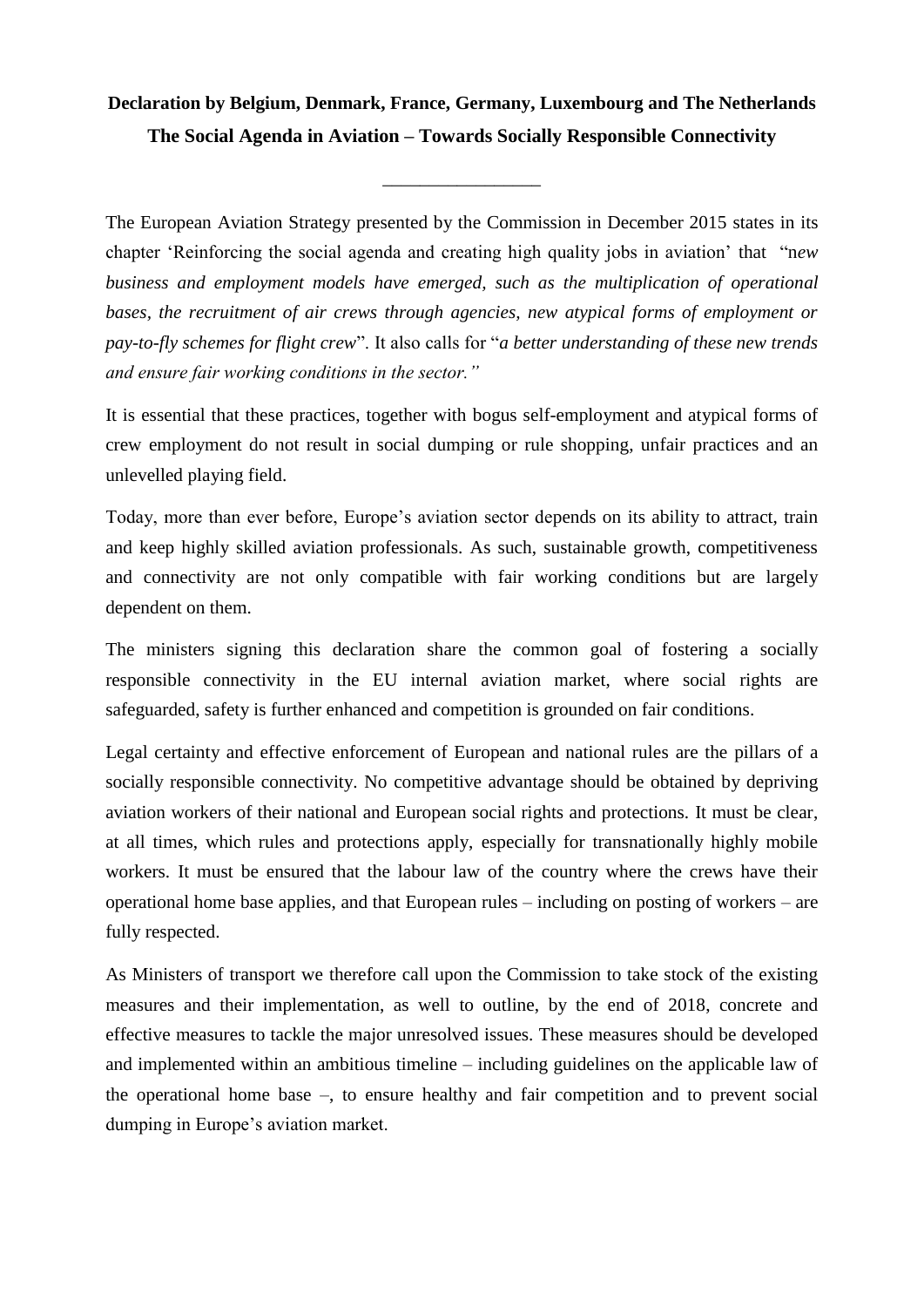## **Declaration by Belgium, Denmark, France, Germany, Luxembourg and The Netherlands The Social Agenda in Aviation – Towards Socially Responsible Connectivity**

\_\_\_\_\_\_\_\_\_\_\_\_\_\_\_\_\_

The European Aviation Strategy presented by the Commission in December 2015 states in its chapter 'Reinforcing the social agenda and creating high quality jobs in aviation' that "n*ew business and employment models have emerged, such as the multiplication of operational bases, the recruitment of air crews through agencies, new atypical forms of employment or pay-to-fly schemes for flight crew*". It also calls for "*a better understanding of these new trends and ensure fair working conditions in the sector."*

It is essential that these practices, together with bogus self-employment and atypical forms of crew employment do not result in social dumping or rule shopping, unfair practices and an unlevelled playing field.

Today, more than ever before, Europe's aviation sector depends on its ability to attract, train and keep highly skilled aviation professionals. As such, sustainable growth, competitiveness and connectivity are not only compatible with fair working conditions but are largely dependent on them.

The ministers signing this declaration share the common goal of fostering a socially responsible connectivity in the EU internal aviation market, where social rights are safeguarded, safety is further enhanced and competition is grounded on fair conditions.

Legal certainty and effective enforcement of European and national rules are the pillars of a socially responsible connectivity. No competitive advantage should be obtained by depriving aviation workers of their national and European social rights and protections. It must be clear, at all times, which rules and protections apply, especially for transnationally highly mobile workers. It must be ensured that the labour law of the country where the crews have their operational home base applies, and that European rules – including on posting of workers – are fully respected.

As Ministers of transport we therefore call upon the Commission to take stock of the existing measures and their implementation, as well to outline, by the end of 2018, concrete and effective measures to tackle the major unresolved issues. These measures should be developed and implemented within an ambitious timeline – including guidelines on the applicable law of the operational home base –, to ensure healthy and fair competition and to prevent social dumping in Europe's aviation market.